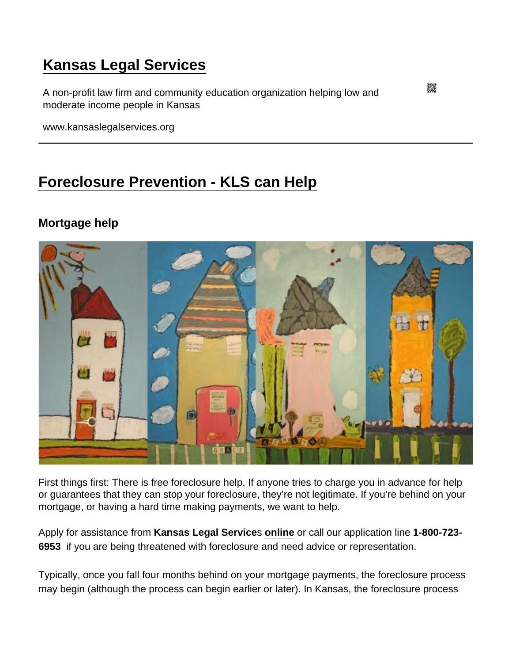# [Kansas Legal Services](https://www.kansaslegalservices.org/)

A non-profit law firm and community education organization helping low and moderate income people in Kansas

www.kansaslegalservices.org

# [Foreclosure Prevention - KLS can Help](https://www.kansaslegalservices.org/node/2130/foreclosure-prevention-kls-can-help)

Mortgage help

First things first: There is free foreclosure help. If anyone tries to charge you in advance for help or guarantees that they can stop your foreclosure, they're not legitimate. If you're behind on your mortgage, or having a hard time making payments, we want to help.

Apply for assistance from Kansas Legal Service s [online](http://www.kansaslegalservices.org/node/809/online-application) or call our application line 1-800-723-6953 if you are being threatened with foreclosure and need advice or representation.

Typically, once you fall four months behind on your mortgage payments, the foreclosure process may begin (although the process can begin earlier or later). In Kansas, the foreclosure process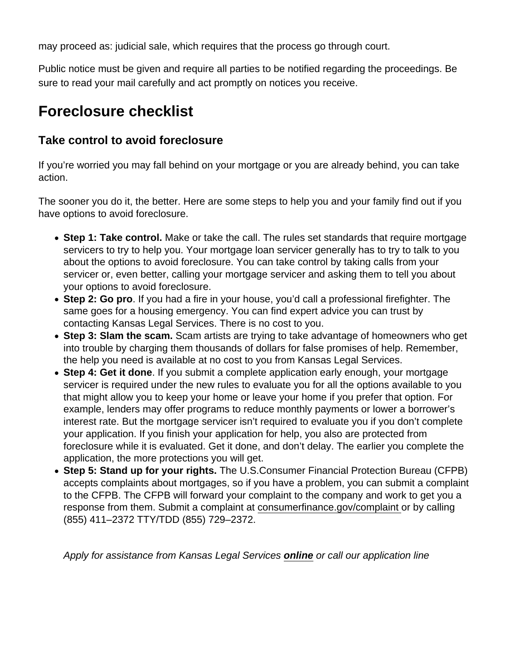may proceed as: judicial sale, which requires that the process go through court.

Public notice must be given and require all parties to be notified regarding the proceedings. Be sure to read your mail carefully and act promptly on notices you receive.

## Foreclosure checklist

### Take control to avoid foreclosure

If you're worried you may fall behind on your mortgage or you are already behind, you can take action.

The sooner you do it, the better. Here are some steps to help you and your family find out if you have options to avoid foreclosure.

- Step 1: Take control. Make or take the call. The rules set standards that require mortgage servicers to try to help you. Your mortgage loan servicer generally has to try to talk to you about the options to avoid foreclosure. You can take control by taking calls from your servicer or, even better, calling your mortgage servicer and asking them to tell you about your options to avoid foreclosure.
- Step 2: Go pro . If you had a fire in your house, you'd call a professional firefighter. The same goes for a housing emergency. You can find expert advice you can trust by contacting Kansas Legal Services. There is no cost to you.
- Step 3: Slam the scam. Scam artists are trying to take advantage of homeowners who get into trouble by charging them thousands of dollars for false promises of help. Remember, the help you need is available at no cost to you from Kansas Legal Services.
- Step 4: Get it done. If you submit a complete application early enough, your mortgage servicer is required under the new rules to evaluate you for all the options available to you that might allow you to keep your home or leave your home if you prefer that option. For example, lenders may offer programs to reduce monthly payments or lower a borrower's interest rate. But the mortgage servicer isn't required to evaluate you if you don't complete your application. If you finish your application for help, you also are protected from foreclosure while it is evaluated. Get it done, and don't delay. The earlier you complete the application, the more protections you will get.
- Step 5: Stand up for your rights. The U.S.Consumer Financial Protection Bureau (CFPB) accepts complaints about mortgages, so if you have a problem, you can submit a complaint to the CFPB. The CFPB will forward your complaint to the company and work to get you a response from them. Submit a complaint at [consumerfinance.gov/complaint](https://www.consumerfinance.gov/complaint/) or by calling (855) 411–2372 TTY/TDD (855) 729–2372.

Apply for assistance from Kansas Legal Services [online](http://www.kansaslegalservices.org/node/809/online-application) or call our application line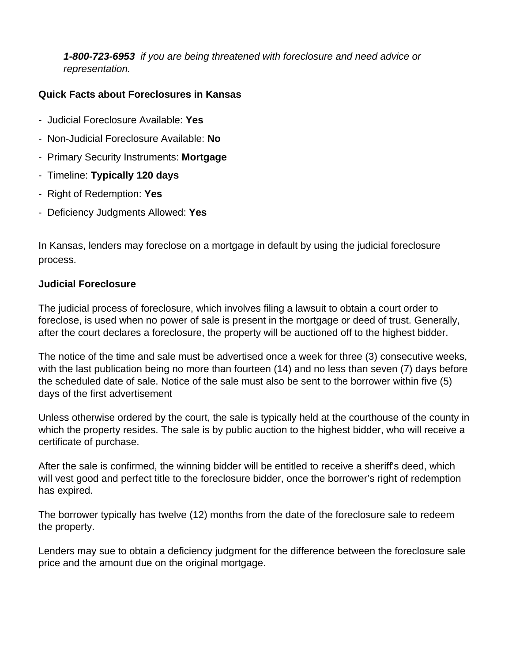**1-800-723-6953** if you are being threatened with foreclosure and need advice or representation.

### **Quick Facts about Foreclosures in Kansas**

- Judicial Foreclosure Available: **Yes**
- Non-Judicial Foreclosure Available: **No**
- Primary Security Instruments: **Mortgage**
- Timeline: **Typically 120 days**
- Right of Redemption: **Yes**
- Deficiency Judgments Allowed: **Yes**

In Kansas, lenders may foreclose on a mortgage in default by using the judicial foreclosure process.

#### **Judicial Foreclosure**

The judicial process of foreclosure, which involves filing a lawsuit to obtain a court order to foreclose, is used when no power of sale is present in the mortgage or deed of trust. Generally, after the court declares a foreclosure, the property will be auctioned off to the highest bidder.

The notice of the time and sale must be advertised once a week for three (3) consecutive weeks, with the last publication being no more than fourteen (14) and no less than seven (7) days before the scheduled date of sale. Notice of the sale must also be sent to the borrower within five (5) days of the first advertisement

Unless otherwise ordered by the court, the sale is typically held at the courthouse of the county in which the property resides. The sale is by public auction to the highest bidder, who will receive a certificate of purchase.

After the sale is confirmed, the winning bidder will be entitled to receive a sheriff's deed, which will vest good and perfect title to the foreclosure bidder, once the borrower's right of redemption has expired.

The borrower typically has twelve (12) months from the date of the foreclosure sale to redeem the property.

Lenders may sue to obtain a deficiency judgment for the difference between the foreclosure sale price and the amount due on the original mortgage.